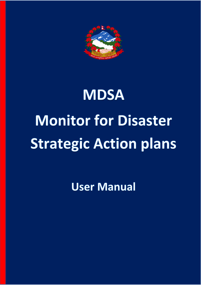

# **MDSA Monitor for Disaster Strategic Action plans**

**User Manual**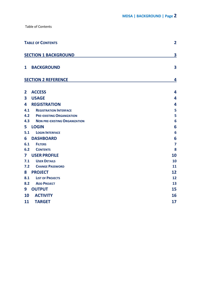<span id="page-1-0"></span>

|                         | <b>TABLE OF CONTENTS</b>             |                         |
|-------------------------|--------------------------------------|-------------------------|
|                         | <b>SECTION 1 BACKGROUND</b>          | 3                       |
| $\mathbf{1}$            | <b>BACKGROUND</b>                    | $\overline{\mathbf{3}}$ |
|                         | <b>SECTION 2 REFERENCE</b>           | 4                       |
| $\overline{2}$          | <b>ACCESS</b>                        | $\overline{\mathbf{4}}$ |
| $\overline{\mathbf{3}}$ | <b>USAGE</b>                         | 4                       |
| 4                       | <b>REGISTRATION</b>                  | 4                       |
| 4.1                     | <b>REGISTRATION INTERFACE</b>        | 5                       |
| 4.2                     | <b>PRE-EXISTING ORGANIZATION</b>     | 5                       |
| 4.3                     | <b>NON PRE-EXISTING ORGANIZATION</b> | 6                       |
| 5 <sub>1</sub>          | <b>LOGIN</b>                         | 6                       |
| 5.1                     | <b>LOGIN INTERFACE</b>               | 6                       |
| 6                       | <b>DASHBOARD</b>                     | 6                       |
| 6.1                     | <b>FILTERS</b>                       | 7                       |
| 6.2                     | <b>CONTENTS</b>                      | 8                       |
| $\mathbf{7}$            | <b>USER PROFILE</b>                  | 10                      |
| 7.1                     | <b>USER DETAILS</b>                  | 10                      |
| 7.2                     | <b>CHANGE PASSWORD</b>               | 11                      |
| 8                       | <b>PROJECT</b>                       | 12                      |
| 8.1                     | <b>LIST OF PROJECTS</b>              | 12                      |
| 8.2                     | <b>ADD PROJECT</b>                   | 13                      |
| 9                       | <b>OUTPUT</b>                        | 15                      |
| 10                      | <b>ACTIVITY</b>                      | 16                      |
| 11                      | <b>TARGET</b>                        | 17                      |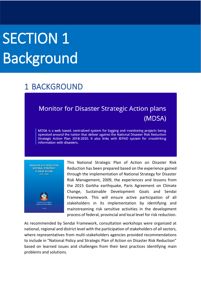# SECTION 1 Background

## <span id="page-2-0"></span>1 BACKGROUND

## **Monitor for Disaster Strategic Action plans** (MDSA)

MDSA is a web based, centralized system for logging and monitoring projects being operated around the nation that deliver against the National Disaster Risk Reduction Strategic Action Plan 2018-2030. It also links with BIPAD system for crosslinking information with disasters.



This National Strategic Plan of Action on Disaster Risk Reduction has been prepared based on the experience gained through the implementation of National Strategy for Disaster Risk Management, 2009, the experiences and lessons from the 2015 Gorkha earthquake, Paris Agreement on Climate Change, Sustainable Development Goals and Sendai Framework. This will ensure active participation of all stakeholders in its implementation by identifying and mainstreaming risk sensitive activities in the development process of federal, provincial and local level for risk reduction.

As recommended by Sendai Framework, consultation workshops were organized at national, regional and district level with the participation of stakeholders of all sectors, where representatives from multi-stakeholders agencies provided recommendations to include in "National Policy and Strategic Plan of Action on Disaster Risk Reduction" based on learned issues and challenges from their best practices identifying main problems and solutions.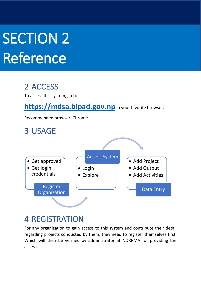# **SECTION 2** Reference

# <span id="page-3-0"></span>2 ACCESS

To access this system, go to:

**[https://mdsa.bipad.gov.np](https://mdsa.bipad.gov.np/)** in your favorite browser.

Recommended browser: Chrome

<span id="page-3-1"></span>

## <span id="page-3-2"></span>4 REGISTRATION

For any organization to gain access to this system and contribute their detail regarding projects conducted by them, they need to register themselves first. Which will then be verified by administrator at NDRRMA for providing the access.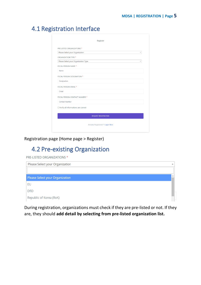## <span id="page-4-0"></span>4.1 Registration Interface

| PRE-LISTED ORGANIZATIONS *                 |                                        |
|--------------------------------------------|----------------------------------------|
| Please Select your Organization            | $\overline{\phantom{a}}$               |
| ORGANIZATION TYPE *                        |                                        |
| Please Select your Organization Type       | $\overline{\mathbf v}$                 |
| <b>FOCAL PERSON NAME *</b>                 |                                        |
| Name                                       |                                        |
| FOCAL PERSON DESIGNATION *                 |                                        |
| Designation                                |                                        |
| FOCAL PERSON EMAIL *                       |                                        |
| Email                                      |                                        |
| FOCAL PERSON CONTACT NUMBER *              |                                        |
| <b>Contact Number</b>                      |                                        |
| $\Box$ Verify all informations are correct |                                        |
|                                            | <b>REQUEST REGISTRATION</b>            |
|                                            | <b>Already Registered ? Login Here</b> |

Registration page (Home page > Register)

## <span id="page-4-1"></span>4.2 Pre-existing Organization

PRE-LISTED ORGANIZATIONS \*

| Please Select your Organization |  |
|---------------------------------|--|
|                                 |  |
| Please Select your Organization |  |
| EU                              |  |
| <b>DfiD</b>                     |  |
| Republic of Korea (RoK)         |  |

During registration, organizations must check if they are pre-listed or not. If they are, they should **add detail by selecting from pre-listed organization list.**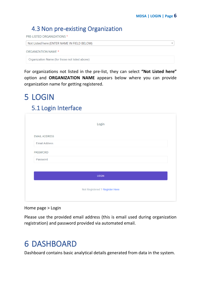$\overline{\phantom{a}}$ 

### <span id="page-5-0"></span>4.3 Non pre-existing Organization

PRE-LISTED ORGANIZATIONS \*

Not Listed here (ENTER NAME IN FIELD BELOW)

```
ORGANIZATION NAME *
```
Organization Name (for those not listed above)

For organizations not listed in the pre-list, they can select **"Not Listed here"** option and **ORGANIZATION NAME** appears below where you can provide organization name for getting registered.

# <span id="page-5-1"></span>5 LOGIN

#### <span id="page-5-2"></span>5.1 Login Interface

|                      | Login                          |
|----------------------|--------------------------------|
| <b>EMAIL ADDRESS</b> |                                |
| <b>Email Address</b> |                                |
| PASSWORD             |                                |
| Password             |                                |
|                      |                                |
|                      | LOGIN                          |
|                      | Not Registered ? Register Here |
|                      |                                |

Home page > Login

Please use the provided email address (this is email used during organization registration) and password provided via automated email.

# <span id="page-5-3"></span>6 DASHBOARD

Dashboard contains basic analytical details generated from data in the system.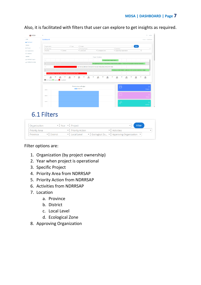#### **MDSA | DASHBOARD | Page 7**

| <b>O</b> MDSA            | $Q$ admin<br>$\equiv$                                                                                                                                                                                                                                                            |  |
|--------------------------|----------------------------------------------------------------------------------------------------------------------------------------------------------------------------------------------------------------------------------------------------------------------------------|--|
| HOME                     | Dashboard<br>Home > Dashboard                                                                                                                                                                                                                                                    |  |
| <b>OR</b> Dashboard      |                                                                                                                                                                                                                                                                                  |  |
| MANAGE                   |                                                                                                                                                                                                                                                                                  |  |
| $\rightarrow$<br>Project | v Year<br>- Project<br>Filter<br>Organization<br>- Priority Action<br>* Activities<br><b>Priority Area</b><br>$\sim$                                                                                                                                                             |  |
| Ci Organizations         | · District<br>Ecological Zone<br>* Approving Organization<br>* Local Level<br>$\tau$<br>Province                                                                                                                                                                                 |  |
| <sup>1</sup> Validators  |                                                                                                                                                                                                                                                                                  |  |
| <b>REPORTS</b>           | <b>Project Timelines</b>                                                                                                                                                                                                                                                         |  |
| <b>INDRRSAP Targets</b>  | $-1$<br>Comprehensive Disaster RBK M.                                                                                                                                                                                                                                            |  |
| AL NDRRSAP Activities    |                                                                                                                                                                                                                                                                                  |  |
|                          | Strengthening Emergency Preparedness in Nepat Building capacity on Sexual and Reproductive Health and Gender Ba.,<br>$\overline{2}$                                                                                                                                              |  |
|                          | Fast Tracking Millennium Development Goals and Safeguarding Development Gains<br>$\overline{\mathbf{3}}$                                                                                                                                                                         |  |
|                          | Developing Climate Resilient Livelihoods in the Vulnerable Watershed in Nepal<br>$\boldsymbol{A}$                                                                                                                                                                                |  |
|                          | Community Based Flood and Glacial Lake Outburst Risk Reduction Project<br>6.                                                                                                                                                                                                     |  |
|                          |                                                                                                                                                                                                                                                                                  |  |
|                          | Jul<br>Jul<br>Jul<br>Jan<br><b>Jul</b><br>Jan<br>Jul<br>Jan<br>Ad<br>Jan<br>Jul<br>$\frac{Jan}{2021}$<br>Jul<br>Jan<br>Jul<br>Jan<br>Jul<br>$\frac{3an}{2024}$<br>$\frac{Jam}{2014}$<br>$\frac{Jam}{2015}$<br>$\frac{Jan}{2016}$<br>2017<br>2018<br>2020<br>2022<br>2023<br>2019 |  |
|                          | Not Started Ongoing Completed                                                                                                                                                                                                                                                    |  |
|                          |                                                                                                                                                                                                                                                                                  |  |
|                          | D<br><b>Priority Area vs Budget</b>                                                                                                                                                                                                                                              |  |
|                          | Budget USD<br>Projects<br>3300000                                                                                                                                                                                                                                                |  |
|                          |                                                                                                                                                                                                                                                                                  |  |
|                          |                                                                                                                                                                                                                                                                                  |  |
|                          | 2500000-<br><b>Donors</b>                                                                                                                                                                                                                                                        |  |
|                          |                                                                                                                                                                                                                                                                                  |  |
|                          | $\overline{\mathcal{L}}$<br>2000000<br>$\overline{z}$                                                                                                                                                                                                                            |  |
|                          | Partners                                                                                                                                                                                                                                                                         |  |

Also, it is facilitated with filters that user can explore to get insights as required.

### <span id="page-6-0"></span>6.1 Filters

| $\mathbf{v}$ Year $\mathbf{v}$ Project<br>Organization |                                | <b>Filter</b>                                                               |  |
|--------------------------------------------------------|--------------------------------|-----------------------------------------------------------------------------|--|
| Priority Area                                          | $\mathbf{v}$   Priority Action | $\overline{\phantom{a}}$   Activities                                       |  |
| • District<br>Province                                 | ▼   Local Level                | $\mathbf{v}$ Ecological Zo $\mathbf{v}$ Approving Organization $\mathbf{v}$ |  |

#### Filter options are:

- 1. Organization (by project ownership)
- 2. Year when project is operational
- 3. Specific Project
- 4. Priority Area from NDRRSAP
- 5. Priority Action from NDRRSAP
- 6. Activities from NDRRSAP
- 7. Location
	- a. Province
	- b. District
	- c. Local Level
	- d. Ecological Zone
- 8. Approving Organization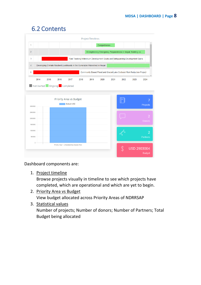### 6.2 Contents

<span id="page-7-0"></span>

Dashboard components are:

1. Project timeline

Browse projects visually in timeline to see which projects have completed, which are operational and which are yet to begin.

- 2. Priority Area vs Budget View budget allocated across Priority Areas of NDRRSAP
- 3. Statistical values Number of projects; Number of donors; Number of Partners; Total Budget being allocated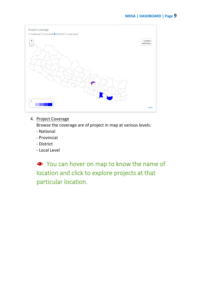

#### 4. Project Coverage

Browse the coverage are of project in map at various levels:

- National
- Provincial
- District
- Local Level

● You can hover on map to know the name of location and click to explore projects at that particular location.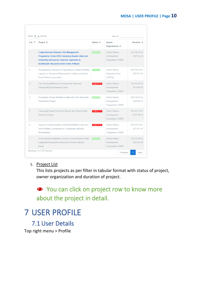#### **MDSA | USER PROFILE | Page 10**

|                    | Show 10 $\vee$ entries                                                                                                                                                                        | Search:             |                                                                 |                             |  |
|--------------------|-----------------------------------------------------------------------------------------------------------------------------------------------------------------------------------------------|---------------------|-----------------------------------------------------------------|-----------------------------|--|
| $S.N.$ $\triangle$ | Project ≑                                                                                                                                                                                     | Status $\triangleq$ | Owner<br><b>Organization ≑</b>                                  | Duration $\triangleq$       |  |
| 1                  | <b>Comprehensive Disaster Risk Management</b><br>Programme Urban DRR Reducing disaster risks and<br>enhancing emergency response capacities in<br>multihazard-risk prone urban areas of Nepal | <b>ONGOING</b>      | <b>United Nations</b><br><b>Development</b><br>Programme (UNDP) | 2019-06-01 to<br>2021-02-28 |  |
| $\mathcal{P}$      | Strengthening Emergency Preparedness in Nepal: Building<br>capacity on Sexual and Reproductive Health and Gender<br><b>Based Violence prevention</b>                                          | <b>ONGOING</b>      | <b>United Nations</b><br><b>Population Fund</b><br>(UNFPA)      | 2018-05-15 to<br>2023-12-31 |  |
| 3                  | Fast Tracking Millennium Development Goals and<br><b>Safeguarding Development Gains</b>                                                                                                       | <b>COMPLETED</b>    | <b>United Nations</b><br>Development<br>Programme (UNDP)        | 2014-05-01 to<br>2016-09-30 |  |
| 4                  | Developing Climate Resilient Livelihoods in the Vulnerable<br><b>Watershed in Nepal</b>                                                                                                       | <b>ONGOING</b>      | <b>United Nations</b><br>Development<br>Programme (UNDP)        | 2020-06-01 to<br>2024-05-31 |  |
| 5                  | Community Based Flood and Glacial Lake Outburst Risk<br><b>Reduction Project</b>                                                                                                              | COMPLETED           | <b>United Nations</b><br><b>Development</b><br>Programme (UNDP) | 2013-07-15 to<br>2017-10-31 |  |
| 6                  | Support to Implementation of National Building Code and<br>Safer Building Construction in 3 Earthquake affected<br><b>Municipalities</b>                                                      | <b>COMPLETED</b>    | <b>United Nations</b><br><b>Development</b><br>Programme (UNDP) | 2016-01-01 to<br>2017-01-31 |  |
| $\overline{7}$     | Socio-technical facilitation services to Government of India<br>supported Housing Reconstruction in Gorkha District,<br>Nepal                                                                 | <b>ONGOING</b>      | <b>United Nations</b><br><b>Development</b><br>Programme (UNDP) | 2018-03-08 to<br>2021-02-28 |  |

#### 5. Project List

This lists projects as per filter in tabular format with status of project, owner organization and duration of project.

● You can click on project row to know more about the project in detail.

## <span id="page-9-0"></span>7 USER PROFILE

<span id="page-9-1"></span>7.1 User Details Top right menu > Profile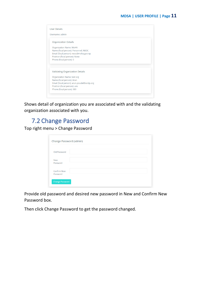| Username: admin                                                                                                                                                              |  |
|------------------------------------------------------------------------------------------------------------------------------------------------------------------------------|--|
| <b>Organization Details</b>                                                                                                                                                  |  |
| <b>Organization Name: MoHA</b><br>Name (focal person): Personnel, NEOC<br>Email (focal person): neoc@moha.gov.np<br>Position (focal person): None<br>Phone (focal person): 0 |  |
| <b>Validating Organization Details</b>                                                                                                                                       |  |
| Organization Name: test org                                                                                                                                                  |  |
| Name (focal person): Arun                                                                                                                                                    |  |
| Email (focal person): arun.poudel@undp.org                                                                                                                                   |  |
| Position (focal person): unv<br>Phone (focal person): 989                                                                                                                    |  |

Shows detail of organization you are associated with and the validating organization associated with you.

#### <span id="page-10-0"></span>7.2 Change Password

Top right menu > Change Password

| Old Password                   |  |  |  |
|--------------------------------|--|--|--|
| <b>New</b><br>Password         |  |  |  |
| <b>Confirm New</b><br>Password |  |  |  |

Provide old password and desired new password in New and Confirm New Password box.

Then click Change Password to get the password changed.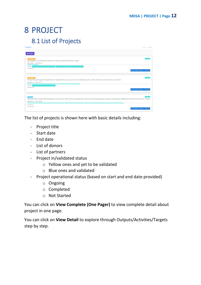# <span id="page-11-1"></span><span id="page-11-0"></span>8 PROJECT 8.1 List of Projects

| Projects                                                                                                                                                                                                                | Home > Projects                       |
|-------------------------------------------------------------------------------------------------------------------------------------------------------------------------------------------------------------------------|---------------------------------------|
| <b>Add Project</b>                                                                                                                                                                                                      |                                       |
| Not Validated !!<br>Developing Climate Resilient Livelihoods in the Vulnerable Watershed in Nepal<br>(2020-06-01 - 2024-05-31)                                                                                          | Ongoing                               |
| DONOTS: United Nations Development Programme (UNDP) Government of Nepal (GoN) Global Environment Facility<br>No Partners                                                                                                | View Complete (One Pager) View Detail |
| Not Validated !!<br>Strengthening Emergency Preparedness in Nepal: Building capacity on Sexual and Reproductive Health and Gender Based Violence prevention<br>(2018-05-15 - 2023-12-31)                                | Onegine                               |
| DONOTS: United Nations Development Programme (UNDP)<br><b>No Partners</b>                                                                                                                                               | View Complete (One Pager) View Detail |
| Validated<br>Comprehensive Disaster Risk Management Programme_Urban DRR_Reducing disaster risks and enhancing emergency response capacities in multihazard-risk prone urban areas of Nepal<br>(2019-06-01 - 2021-02-28) | Oneoine                               |
| No Donors<br>No Partners                                                                                                                                                                                                | View Complete (One Pager) View Detail |

The list of projects is shown here with basic details including:

- Project title
- Start date
- End date
- List of donors
- List of partners
- Project in/validated status
	- o Yellow ones and yet to be validated
	- o Blue ones and validated
- Project operational status (based on start and end date provided)
	- o Ongoing
	- o Completed
	- o Not Started

You can click on **View Complete (One Pager)** to view complete detail about project in one page.

You can click on **View Detail** to explore through Outputs/Activities/Targets step by step.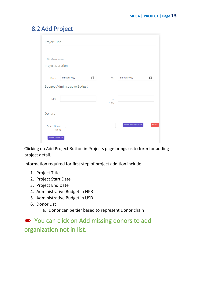#### <span id="page-12-0"></span>8.2 Add Project

| Project Title           |                                |   |           |                        |        |
|-------------------------|--------------------------------|---|-----------|------------------------|--------|
|                         |                                |   |           |                        |        |
|                         |                                |   |           |                        |        |
| Title of your project.  |                                |   |           |                        |        |
| <b>Project Duration</b> |                                |   |           |                        |        |
|                         |                                |   |           |                        |        |
| From                    | mm/dd/yyyy                     | □ | To        | mm/dd/yyyy             | □      |
|                         | Budget (Administrative Budget) |   |           |                        |        |
| <b>NPR</b>              |                                |   | or        |                        |        |
|                         |                                |   | $USD(\$)$ |                        |        |
| <b>Donors</b>           |                                |   |           |                        |        |
| <b>Select Donor</b>     |                                |   |           | $+$ Add missing donors | Delete |
| (Tier 1)                |                                |   |           |                        |        |
| + Add Donor Tier        |                                |   |           |                        |        |

Clicking on Add Project Button in Projects page brings us to form for adding project detail.

Information required for first step of project addition include:

- 1. Project Title
- 2. Project Start Date
- 3. Project End Date
- 4. Administrative Budget in NPR
- 5. Administrative Budget in USD
- 6. Donor List
	- a. Donor can be tier based to represent Donor chain

● You can click on Add missing donors to add organization not in list.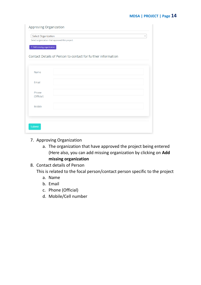| Select Organization          |                                                              | $\overline{\mathbf{v}}$ |
|------------------------------|--------------------------------------------------------------|-------------------------|
|                              | Select organization that approved this project.              |                         |
| $+$ Add missing organization |                                                              |                         |
|                              |                                                              |                         |
|                              | Contact Details of Person to contact for further information |                         |
|                              |                                                              |                         |
|                              |                                                              |                         |
| Name                         |                                                              |                         |
| Email                        |                                                              |                         |
|                              |                                                              |                         |
| Phone                        |                                                              |                         |
| (Official)                   |                                                              |                         |
|                              |                                                              |                         |
| Mobile                       |                                                              |                         |
|                              |                                                              |                         |
|                              |                                                              |                         |

- 7. Approving Organization
	- a. The organization that have approved the project being entered (Here also, you can add missing organization by clicking on **Add missing organization**
- 8. Contact details of Person

This is related to the focal person/contact person specific to the project

- a. Name
- b. Email
- c. Phone (Official)
- d. Mobile/Cell number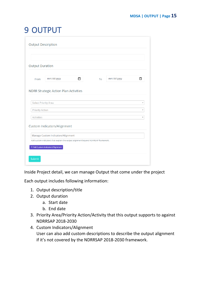# <span id="page-14-0"></span>9 OUTPUT

|                        | <b>Output Description</b>                                                         |    |            |   |
|------------------------|-----------------------------------------------------------------------------------|----|------------|---|
|                        |                                                                                   |    |            |   |
|                        |                                                                                   |    |            |   |
| <b>Output Duration</b> |                                                                                   |    |            |   |
|                        |                                                                                   |    |            |   |
| From                   | mm/dd/yyyy<br>m                                                                   | To | mm/dd/yyyy | m |
|                        |                                                                                   |    |            |   |
|                        | <b>NDRR Strategic Action Plan Activities</b>                                      |    |            |   |
|                        |                                                                                   |    |            |   |
|                        | <b>Select Priority Area</b>                                                       |    |            |   |
|                        |                                                                                   |    |            |   |
| <b>Priority Action</b> |                                                                                   |    |            |   |
| <b>Activities</b>      |                                                                                   |    |            |   |
|                        |                                                                                   |    |            |   |
|                        | <b>Custom Indicators/Alignment</b>                                                |    |            |   |
|                        | Manage Custom Indicators/Alignment                                                |    |            |   |
|                        | Add custom indicators that explain the output alignment beyond NDRRSAP framework. |    |            |   |
|                        | + Add Custom Indicators/Alignment                                                 |    |            |   |
|                        |                                                                                   |    |            |   |
|                        |                                                                                   |    |            |   |
| Submit                 |                                                                                   |    |            |   |

Inside Project detail, we can manage Output that come under the project

Each output includes following information:

- 1. Output description/title
- 2. Output duration
	- a. Start date
	- b. End date
- 3. Priority Area/Priority Action/Activity that this output supports to against NDRRSAP 2018-2030
- 4. Custom Indicators/Alignment User can also add custom descriptions to describe the output alignment if it's not covered by the NDRRSAP 2018-2030 framework.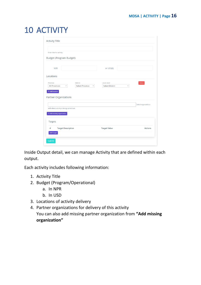# <span id="page-15-0"></span>10 ACTIVITY

| <b>Activity Title</b>                                                                                                                                 |                                       |                                  |
|-------------------------------------------------------------------------------------------------------------------------------------------------------|---------------------------------------|----------------------------------|
| Enter title for activity.                                                                                                                             |                                       |                                  |
| <b>Budget (Program Budget)</b>                                                                                                                        |                                       |                                  |
| <b>NPR</b>                                                                                                                                            | or USD(\$)                            |                                  |
| Locations                                                                                                                                             |                                       |                                  |
| <b>District</b><br>Province<br><b>All Provinces</b><br><b>Select Province</b><br>$\overline{\mathbf v}$<br>$\overline{\mathbf v}$<br>$+$ Add location | Local Level<br><b>Select District</b> | Delete<br>$\overline{\mathbf v}$ |
| <b>Partner Organizations</b>                                                                                                                          |                                       |                                  |
| with whom activity is being carried out.                                                                                                              |                                       | <b>Select organizations</b>      |
| $+$ Add missing organization                                                                                                                          |                                       |                                  |
| <b>Targets</b>                                                                                                                                        |                                       |                                  |
| <b>Target Description</b><br>#<br><b>Add Target</b>                                                                                                   | <b>Target Value</b>                   | <b>Actions</b>                   |
| Submit                                                                                                                                                |                                       |                                  |

Inside Output detail, we can manage Activity that are defined within each output.

Each activity includes following information:

- 1. Activity Title
- 2. Budget (Program/Operational)
	- a. In NPR
	- b. In USD
- 3. Locations of activity delivery
- 4. Partner organizations for delivery of this activity You can also add missing partner organization from **"Add missing organization"**